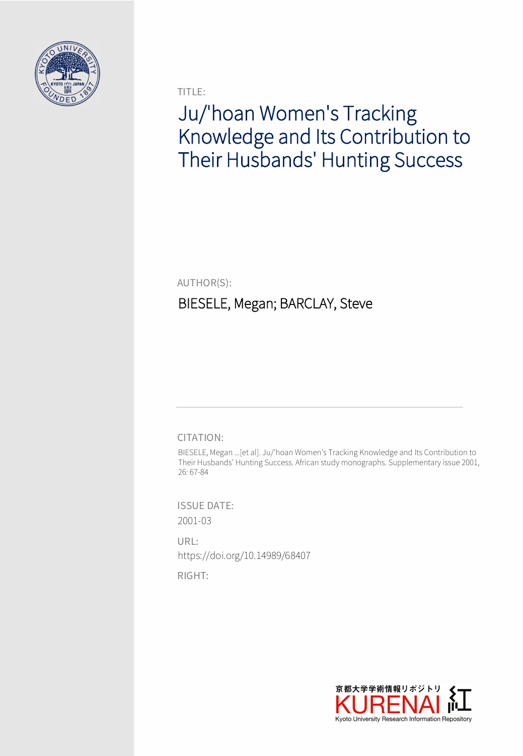

TITLE:

# Ju/'hoan Women's Tracking Knowledge and Its Contribution to Their Husbands' Hunting Success

AUTHOR(S):

## BIESELE, Megan; BARCLAY, Steve

CITATION:

BIESELE, Megan ...[et al]. Ju/'hoan Women's Tracking Knowledge and Its Contribution to Their Husbands' Hunting Success. African study monographs. Supplementary issue 2001, 26: 67-84

ISSUE DATE: 2001-03

URL: https://doi.org/10.14989/68407

RIGHT:

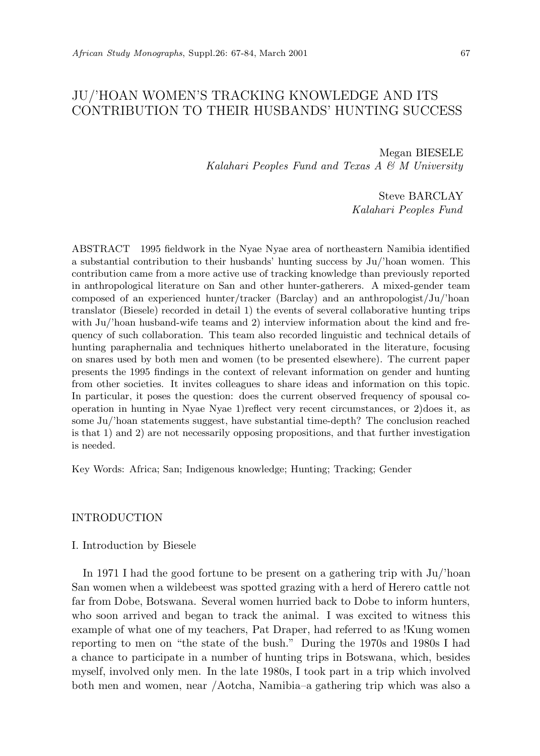### JU/'HOAN WOMEN'S TRACKING KNOWLEDGE AND ITS CONTRIBUTION TO THEIR HUSBANDS' HUNTING SUCCESS

Megan BIESELE *Kalahari Peoples Fund and Texas A & M University*

> Steve BARCLAY *Kalahari Peoples Fund*

ABSTRACT 1995 fieldwork in the Nyae Nyae area of northeastern Namibia identified a substantial contribution to their husbands' hunting success by Ju/'hoan women. This contribution came from a more active use of tracking knowledge than previously reported in anthropological literature on San and other hunter-gatherers. A mixed-gender team composed of an experienced hunter/tracker (Barclay) and an anthropologist/Ju/'hoan translator (Biesele) recorded in detail 1) the events of several collaborative hunting trips with Ju/'hoan husband-wife teams and 2) interview information about the kind and frequency of such collaboration. This team also recorded linguistic and technical details of hunting paraphernalia and techniques hitherto unelaborated in the literature, focusing on snares used by both men and women (to be presented elsewhere). The current paper presents the 1995 findings in the context of relevant information on gender and hunting from other societies. It invites colleagues to share ideas and information on this topic. In particular, it poses the question: does the current observed frequency of spousal cooperation in hunting in Nyae Nyae 1)reflect very recent circumstances, or 2)does it, as some Ju/'hoan statements suggest, have substantial time-depth? The conclusion reached is that 1) and 2) are not necessarily opposing propositions, and that further investigation is needed.

Key Words: Africa; San; Indigenous knowledge; Hunting; Tracking; Gender

#### INTRODUCTION

#### I. Introduction by Biesele

In 1971 I had the good fortune to be present on a gathering trip with Ju/'hoan San women when a wildebeest was spotted grazing with a herd of Herero cattle not far from Dobe, Botswana. Several women hurried back to Dobe to inform hunters, who soon arrived and began to track the animal. I was excited to witness this example of what one of my teachers, Pat Draper, had referred to as !Kung women reporting to men on "the state of the bush." During the 1970s and 1980s I had a chance to participate in a number of hunting trips in Botswana, which, besides myself, involved only men. In the late 1980s, I took part in a trip which involved both men and women, near /Aotcha, Namibia–a gathering trip which was also a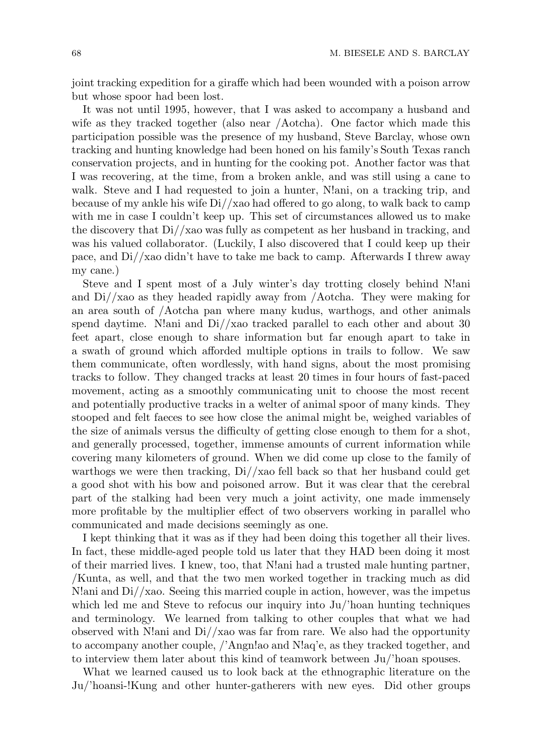joint tracking expedition for a giraffe which had been wounded with a poison arrow but whose spoor had been lost.

It was not until 1995, however, that I was asked to accompany a husband and wife as they tracked together (also near /Aotcha). One factor which made this participation possible was the presence of my husband, Steve Barclay, whose own tracking and hunting knowledge had been honed on his family's South Texas ranch conservation projects, and in hunting for the cooking pot. Another factor was that I was recovering, at the time, from a broken ankle, and was still using a cane to walk. Steve and I had requested to join a hunter, N!ani, on a tracking trip, and because of my ankle his wife  $Di//xa$  had offered to go along, to walk back to camp with me in case I couldn't keep up. This set of circumstances allowed us to make the discovery that Di//xao was fully as competent as her husband in tracking, and was his valued collaborator. (Luckily, I also discovered that I could keep up their pace, and Di//xao didn't have to take me back to camp. Afterwards I threw away my cane.)

Steve and I spent most of a July winter's day trotting closely behind N!ani and  $Di//xao$  as they headed rapidly away from  $/A$ otcha. They were making for an area south of /Aotcha pan where many kudus, warthogs, and other animals spend daytime. N!ani and  $\frac{Di}{x}$  as tracked parallel to each other and about 30 feet apart, close enough to share information but far enough apart to take in a swath of ground which afforded multiple options in trails to follow. We saw them communicate, often wordlessly, with hand signs, about the most promising tracks to follow. They changed tracks at least 20 times in four hours of fast-paced movement, acting as a smoothly communicating unit to choose the most recent and potentially productive tracks in a welter of animal spoor of many kinds. They stooped and felt faeces to see how close the animal might be, weighed variables of the size of animals versus the difficulty of getting close enough to them for a shot, and generally processed, together, immense amounts of current information while covering many kilometers of ground. When we did come up close to the family of warthogs we were then tracking,  $Di//xao$  fell back so that her husband could get a good shot with his bow and poisoned arrow. But it was clear that the cerebral part of the stalking had been very much a joint activity, one made immensely more profitable by the multiplier effect of two observers working in parallel who communicated and made decisions seemingly as one.

I kept thinking that it was as if they had been doing this together all their lives. In fact, these middle-aged people told us later that they HAD been doing it most of their married lives. I knew, too, that N!ani had a trusted male hunting partner, /Kunta, as well, and that the two men worked together in tracking much as did N!ani and Di//xao. Seeing this married couple in action, however, was the impetus which led me and Steve to refocus our inquiry into Ju/'hoan hunting techniques and terminology. We learned from talking to other couples that what we had observed with N!ani and  $Di//xao$  was far from rare. We also had the opportunity to accompany another couple, /'Angn!ao and N!aq'e, as they tracked together, and to interview them later about this kind of teamwork between Ju/'hoan spouses.

What we learned caused us to look back at the ethnographic literature on the Ju/'hoansi-!Kung and other hunter-gatherers with new eyes. Did other groups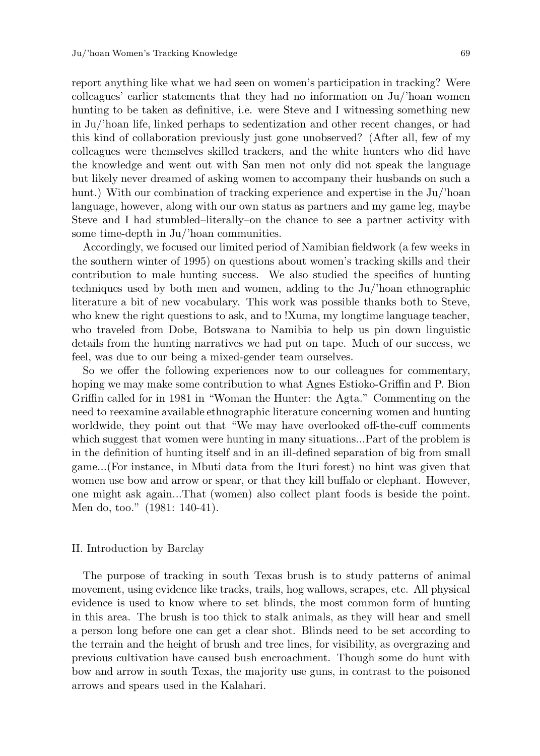report anything like what we had seen on women's participation in tracking? Were colleagues' earlier statements that they had no information on Ju/'hoan women hunting to be taken as definitive, i.e. were Steve and I witnessing something new in Ju/'hoan life, linked perhaps to sedentization and other recent changes, or had this kind of collaboration previously just gone unobserved? (After all, few of my colleagues were themselves skilled trackers, and the white hunters who did have the knowledge and went out with San men not only did not speak the language but likely never dreamed of asking women to accompany their husbands on such a hunt.) With our combination of tracking experience and expertise in the Ju/'hoan language, however, along with our own status as partners and my game leg, maybe Steve and I had stumbled–literally–on the chance to see a partner activity with some time-depth in Ju/'hoan communities.

Accordingly, we focused our limited period of Namibian fieldwork (a few weeks in the southern winter of 1995) on questions about women's tracking skills and their contribution to male hunting success. We also studied the specifics of hunting techniques used by both men and women, adding to the Ju/'hoan ethnographic literature a bit of new vocabulary. This work was possible thanks both to Steve, who knew the right questions to ask, and to !Xuma, my longtime language teacher, who traveled from Dobe, Botswana to Namibia to help us pin down linguistic details from the hunting narratives we had put on tape. Much of our success, we feel, was due to our being a mixed-gender team ourselves.

So we offer the following experiences now to our colleagues for commentary, hoping we may make some contribution to what Agnes Estioko-Griffin and P. Bion Griffin called for in 1981 in "Woman the Hunter: the Agta." Commenting on the need to reexamine available ethnographic literature concerning women and hunting worldwide, they point out that "We may have overlooked off-the-cuff comments which suggest that women were hunting in many situations...Part of the problem is in the definition of hunting itself and in an ill-defined separation of big from small game...(For instance, in Mbuti data from the Ituri forest) no hint was given that women use bow and arrow or spear, or that they kill buffalo or elephant. However, one might ask again...That (women) also collect plant foods is beside the point. Men do, too." (1981: 140-41).

#### II. Introduction by Barclay

The purpose of tracking in south Texas brush is to study patterns of animal movement, using evidence like tracks, trails, hog wallows, scrapes, etc. All physical evidence is used to know where to set blinds, the most common form of hunting in this area. The brush is too thick to stalk animals, as they will hear and smell a person long before one can get a clear shot. Blinds need to be set according to the terrain and the height of brush and tree lines, for visibility, as overgrazing and previous cultivation have caused bush encroachment. Though some do hunt with bow and arrow in south Texas, the majority use guns, in contrast to the poisoned arrows and spears used in the Kalahari.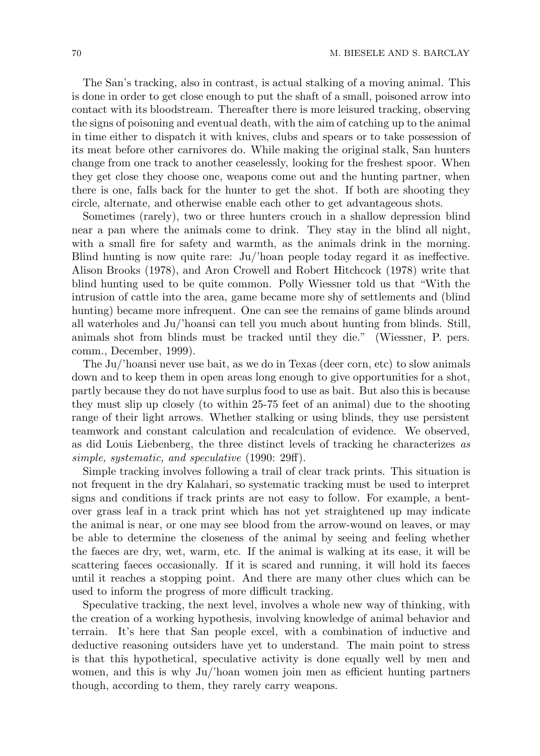The San's tracking, also in contrast, is actual stalking of a moving animal. This is done in order to get close enough to put the shaft of a small, poisoned arrow into contact with its bloodstream. Thereafter there is more leisured tracking, observing the signs of poisoning and eventual death, with the aim of catching up to the animal in time either to dispatch it with knives, clubs and spears or to take possession of its meat before other carnivores do. While making the original stalk, San hunters change from one track to another ceaselessly, looking for the freshest spoor. When they get close they choose one, weapons come out and the hunting partner, when there is one, falls back for the hunter to get the shot. If both are shooting they circle, alternate, and otherwise enable each other to get advantageous shots.

Sometimes (rarely), two or three hunters crouch in a shallow depression blind near a pan where the animals come to drink. They stay in the blind all night, with a small fire for safety and warmth, as the animals drink in the morning. Blind hunting is now quite rare: Ju/'hoan people today regard it as ineffective. Alison Brooks (1978), and Aron Crowell and Robert Hitchcock (1978) write that blind hunting used to be quite common. Polly Wiessner told us that "With the intrusion of cattle into the area, game became more shy of settlements and (blind hunting) became more infrequent. One can see the remains of game blinds around all waterholes and Ju/'hoansi can tell you much about hunting from blinds. Still, animals shot from blinds must be tracked until they die." (Wiessner, P. pers. comm., December, 1999).

The Ju/'hoansi never use bait, as we do in Texas (deer corn, etc) to slow animals down and to keep them in open areas long enough to give opportunities for a shot, partly because they do not have surplus food to use as bait. But also this is because they must slip up closely (to within 25-75 feet of an animal) due to the shooting range of their light arrows. Whether stalking or using blinds, they use persistent teamwork and constant calculation and recalculation of evidence. We observed, as did Louis Liebenberg, the three distinct levels of tracking he characterizes *as simple, systematic, and speculative* (1990: 29ff).

Simple tracking involves following a trail of clear track prints. This situation is not frequent in the dry Kalahari, so systematic tracking must be used to interpret signs and conditions if track prints are not easy to follow. For example, a bentover grass leaf in a track print which has not yet straightened up may indicate the animal is near, or one may see blood from the arrow-wound on leaves, or may be able to determine the closeness of the animal by seeing and feeling whether the faeces are dry, wet, warm, etc. If the animal is walking at its ease, it will be scattering faeces occasionally. If it is scared and running, it will hold its faeces until it reaches a stopping point. And there are many other clues which can be used to inform the progress of more difficult tracking.

Speculative tracking, the next level, involves a whole new way of thinking, with the creation of a working hypothesis, involving knowledge of animal behavior and terrain. It's here that San people excel, with a combination of inductive and deductive reasoning outsiders have yet to understand. The main point to stress is that this hypothetical, speculative activity is done equally well by men and women, and this is why Ju/'hoan women join men as efficient hunting partners though, according to them, they rarely carry weapons.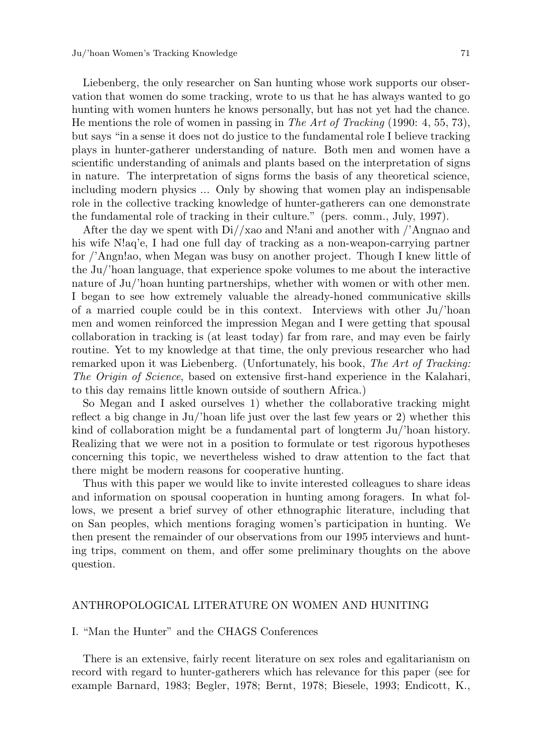Liebenberg, the only researcher on San hunting whose work supports our observation that women do some tracking, wrote to us that he has always wanted to go hunting with women hunters he knows personally, but has not yet had the chance. He mentions the role of women in passing in *The Art of Tracking* (1990: 4, 55, 73), but says "in a sense it does not do justice to the fundamental role I believe tracking plays in hunter-gatherer understanding of nature. Both men and women have a scientific understanding of animals and plants based on the interpretation of signs in nature. The interpretation of signs forms the basis of any theoretical science, including modern physics ... Only by showing that women play an indispensable role in the collective tracking knowledge of hunter-gatherers can one demonstrate the fundamental role of tracking in their culture." (pers. comm., July, 1997).

After the day we spent with  $Di//xao$  and N!ani and another with  $'/\text{Angnao}$  and his wife N!aq'e, I had one full day of tracking as a non-weapon-carrying partner for /'Angn!ao, when Megan was busy on another project. Though I knew little of the Ju/'hoan language, that experience spoke volumes to me about the interactive nature of Ju/'hoan hunting partnerships, whether with women or with other men. I began to see how extremely valuable the already-honed communicative skills of a married couple could be in this context. Interviews with other Ju/'hoan men and women reinforced the impression Megan and I were getting that spousal collaboration in tracking is (at least today) far from rare, and may even be fairly routine. Yet to my knowledge at that time, the only previous researcher who had remarked upon it was Liebenberg. (Unfortunately, his book, *The Art of Tracking: The Origin of Science*, based on extensive first-hand experience in the Kalahari, to this day remains little known outside of southern Africa.)

So Megan and I asked ourselves 1) whether the collaborative tracking might reflect a big change in Ju/'hoan life just over the last few years or 2) whether this kind of collaboration might be a fundamental part of longterm Ju/'hoan history. Realizing that we were not in a position to formulate or test rigorous hypotheses concerning this topic, we nevertheless wished to draw attention to the fact that there might be modern reasons for cooperative hunting.

Thus with this paper we would like to invite interested colleagues to share ideas and information on spousal cooperation in hunting among foragers. In what follows, we present a brief survey of other ethnographic literature, including that on San peoples, which mentions foraging women's participation in hunting. We then present the remainder of our observations from our 1995 interviews and hunting trips, comment on them, and offer some preliminary thoughts on the above question.

#### ANTHROPOLOGICAL LITERATURE ON WOMEN AND HUNITING

#### I. "Man the Hunter" and the CHAGS Conferences

There is an extensive, fairly recent literature on sex roles and egalitarianism on record with regard to hunter-gatherers which has relevance for this paper (see for example Barnard, 1983; Begler, 1978; Bernt, 1978; Biesele, 1993; Endicott, K.,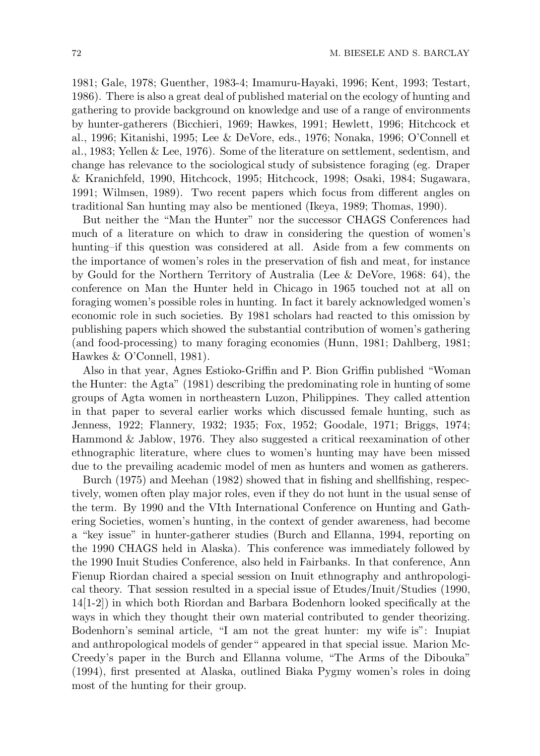1981; Gale, 1978; Guenther, 1983-4; Imamuru-Hayaki, 1996; Kent, 1993; Testart, 1986). There is also a great deal of published material on the ecology of hunting and gathering to provide background on knowledge and use of a range of environments by hunter-gatherers (Bicchieri, 1969; Hawkes, 1991; Hewlett, 1996; Hitchcock et al., 1996; Kitanishi, 1995; Lee & DeVore, eds., 1976; Nonaka, 1996; O'Connell et al., 1983; Yellen & Lee, 1976). Some of the literature on settlement, sedentism, and change has relevance to the sociological study of subsistence foraging (eg. Draper & Kranichfeld, 1990, Hitchcock, 1995; Hitchcock, 1998; Osaki, 1984; Sugawara, 1991; Wilmsen, 1989). Two recent papers which focus from different angles on traditional San hunting may also be mentioned (Ikeya, 1989; Thomas, 1990).

But neither the "Man the Hunter" nor the successor CHAGS Conferences had much of a literature on which to draw in considering the question of women's hunting–if this question was considered at all. Aside from a few comments on the importance of women's roles in the preservation of fish and meat, for instance by Gould for the Northern Territory of Australia (Lee & DeVore, 1968: 64), the conference on Man the Hunter held in Chicago in 1965 touched not at all on foraging women's possible roles in hunting. In fact it barely acknowledged women's economic role in such societies. By 1981 scholars had reacted to this omission by publishing papers which showed the substantial contribution of women's gathering (and food-processing) to many foraging economies (Hunn, 1981; Dahlberg, 1981; Hawkes & O'Connell, 1981).

Also in that year, Agnes Estioko-Griffin and P. Bion Griffin published "Woman the Hunter: the Agta" (1981) describing the predominating role in hunting of some groups of Agta women in northeastern Luzon, Philippines. They called attention in that paper to several earlier works which discussed female hunting, such as Jenness, 1922; Flannery, 1932; 1935; Fox, 1952; Goodale, 1971; Briggs, 1974; Hammond & Jablow, 1976. They also suggested a critical reexamination of other ethnographic literature, where clues to women's hunting may have been missed due to the prevailing academic model of men as hunters and women as gatherers.

Burch (1975) and Meehan (1982) showed that in fishing and shellfishing, respectively, women often play major roles, even if they do not hunt in the usual sense of the term. By 1990 and the VIth International Conference on Hunting and Gathering Societies, women's hunting, in the context of gender awareness, had become a "key issue" in hunter-gatherer studies (Burch and Ellanna, 1994, reporting on the 1990 CHAGS held in Alaska). This conference was immediately followed by the 1990 Inuit Studies Conference, also held in Fairbanks. In that conference, Ann Fienup Riordan chaired a special session on Inuit ethnography and anthropological theory. That session resulted in a special issue of Etudes/Inuit/Studies (1990, 14[1-2]) in which both Riordan and Barbara Bodenhorn looked specifically at the ways in which they thought their own material contributed to gender theorizing. Bodenhorn's seminal article, "I am not the great hunter: my wife is": Inupiat and anthropological models of gender" appeared in that special issue. Marion Mc-Creedy's paper in the Burch and Ellanna volume, "The Arms of the Dibouka" (1994), first presented at Alaska, outlined Biaka Pygmy women's roles in doing most of the hunting for their group.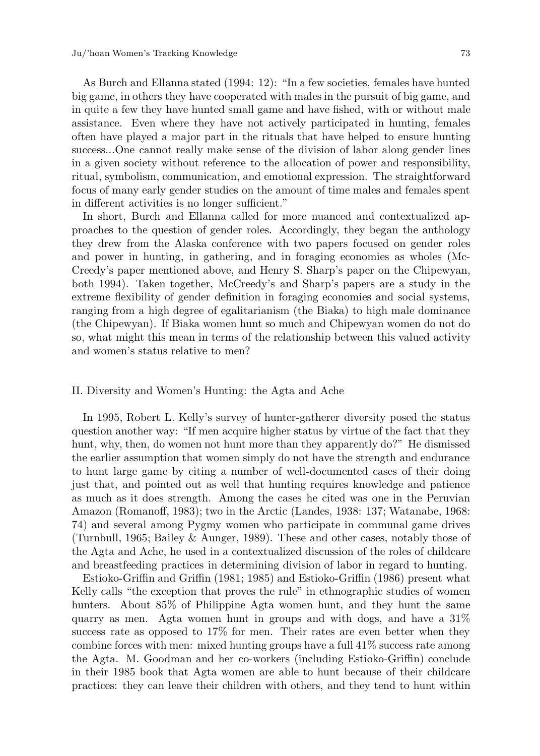As Burch and Ellanna stated (1994: 12): "In a few societies, females have hunted big game, in others they have cooperated with males in the pursuit of big game, and in quite a few they have hunted small game and have fished, with or without male assistance. Even where they have not actively participated in hunting, females often have played a major part in the rituals that have helped to ensure hunting success...One cannot really make sense of the division of labor along gender lines in a given society without reference to the allocation of power and responsibility, ritual, symbolism, communication, and emotional expression. The straightforward focus of many early gender studies on the amount of time males and females spent in different activities is no longer sufficient."

In short, Burch and Ellanna called for more nuanced and contextualized approaches to the question of gender roles. Accordingly, they began the anthology they drew from the Alaska conference with two papers focused on gender roles and power in hunting, in gathering, and in foraging economies as wholes (Mc-Creedy's paper mentioned above, and Henry S. Sharp's paper on the Chipewyan, both 1994). Taken together, McCreedy's and Sharp's papers are a study in the extreme flexibility of gender definition in foraging economies and social systems, ranging from a high degree of egalitarianism (the Biaka) to high male dominance (the Chipewyan). If Biaka women hunt so much and Chipewyan women do not do so, what might this mean in terms of the relationship between this valued activity and women's status relative to men?

#### II. Diversity and Women's Hunting: the Agta and Ache

In 1995, Robert L. Kelly's survey of hunter-gatherer diversity posed the status question another way: "If men acquire higher status by virtue of the fact that they hunt, why, then, do women not hunt more than they apparently do?" He dismissed the earlier assumption that women simply do not have the strength and endurance to hunt large game by citing a number of well-documented cases of their doing just that, and pointed out as well that hunting requires knowledge and patience as much as it does strength. Among the cases he cited was one in the Peruvian Amazon (Romanoff, 1983); two in the Arctic (Landes, 1938: 137; Watanabe, 1968: 74) and several among Pygmy women who participate in communal game drives (Turnbull, 1965; Bailey & Aunger, 1989). These and other cases, notably those of the Agta and Ache, he used in a contextualized discussion of the roles of childcare and breastfeeding practices in determining division of labor in regard to hunting.

Estioko-Griffin and Griffin (1981; 1985) and Estioko-Griffin (1986) present what Kelly calls "the exception that proves the rule" in ethnographic studies of women hunters. About 85% of Philippine Agta women hunt, and they hunt the same quarry as men. Agta women hunt in groups and with dogs, and have a 31% success rate as opposed to 17% for men. Their rates are even better when they combine forces with men: mixed hunting groups have a full 41% success rate among the Agta. M. Goodman and her co-workers (including Estioko-Griffin) conclude in their 1985 book that Agta women are able to hunt because of their childcare practices: they can leave their children with others, and they tend to hunt within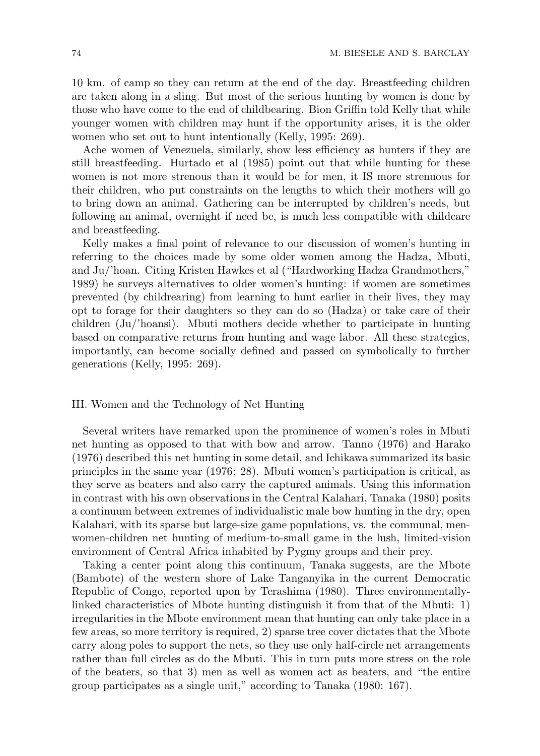10 km. of camp so they can return at the end of the day. Breastfeeding children are taken along in a sling. But most of the serious hunting by women is done by those who have come to the end of childbearing. Bion Griffin told Kelly that while younger women with children may hunt if the opportunity arises, it is the older women who set out to hunt intentionally (Kelly, 1995: 269).

Ache women of Venezuela, similarly, show less efficiency as hunters if they are still breastfeeding. Hurtado et al (1985) point out that while hunting for these women is not more strenous than it would be for men, it IS more strenuous for their children, who put constraints on the lengths to which their mothers will go to bring down an animal. Gathering can be interrupted by children's needs, but following an animal, overnight if need be, is much less compatible with childcare and breastfeeding.

Kelly makes a final point of relevance to our discussion of women's hunting in referring to the choices made by some older women among the Hadza, Mbuti, and Ju/'hoan. Citing Kristen Hawkes et al ("Hardworking Hadza Grandmothers," 1989) he surveys alternatives to older women's hunting: if women are sometimes prevented (by childrearing) from learning to hunt earlier in their lives, they may opt to forage for their daughters so they can do so (Hadza) or take care of their children (Ju/'hoansi). Mbuti mothers decide whether to participate in hunting based on comparative returns from hunting and wage labor. All these strategies, importantly, can become socially defined and passed on symbolically to further generations (Kelly, 1995: 269).

#### III. Women and the Technology of Net Hunting

Several writers have remarked upon the prominence of women's roles in Mbuti net hunting as opposed to that with bow and arrow. Tanno (1976) and Harako (1976) described this net hunting in some detail, and Ichikawa summarized its basic principles in the same year (1976: 28). Mbuti women's participation is critical, as they serve as beaters and also carry the captured animals. Using this information in contrast with his own observations in the Central Kalahari, Tanaka (1980) posits a continuum between extremes of individualistic male bow hunting in the dry, open Kalahari, with its sparse but large-size game populations, vs. the communal, menwomen-children net hunting of medium-to-small game in the lush, limited-vision environment of Central Africa inhabited by Pygmy groups and their prey.

Taking a center point along this continuum, Tanaka suggests, are the Mbote (Bambote) of the western shore of Lake Tanganyika in the current Democratic Republic of Congo, reported upon by Terashima (1980). Three environmentallylinked characteristics of Mbote hunting distinguish it from that of the Mbuti: 1) irregularities in the Mbote environment mean that hunting can only take place in a few areas, so more territory is required, 2) sparse tree cover dictates that the Mbote carry along poles to support the nets, so they use only half-circle net arrangements rather than full circles as do the Mbuti. This in turn puts more stress on the role of the beaters, so that 3) men as well as women act as beaters, and "the entire group participates as a single unit," according to Tanaka (1980: 167).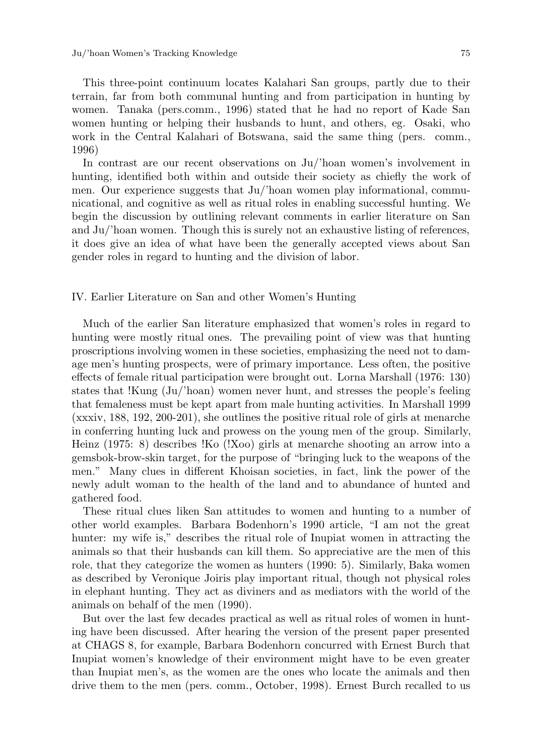Ju/'hoan Women's Tracking Knowledge 75

This three-point continuum locates Kalahari San groups, partly due to their terrain, far from both communal hunting and from participation in hunting by women. Tanaka (pers.comm., 1996) stated that he had no report of Kade San women hunting or helping their husbands to hunt, and others, eg. Osaki, who work in the Central Kalahari of Botswana, said the same thing (pers. comm., 1996)

In contrast are our recent observations on Ju/'hoan women's involvement in hunting, identified both within and outside their society as chiefly the work of men. Our experience suggests that Ju/'hoan women play informational, communicational, and cognitive as well as ritual roles in enabling successful hunting. We begin the discussion by outlining relevant comments in earlier literature on San and Ju/'hoan women. Though this is surely not an exhaustive listing of references, it does give an idea of what have been the generally accepted views about San gender roles in regard to hunting and the division of labor.

#### IV. Earlier Literature on San and other Women's Hunting

Much of the earlier San literature emphasized that women's roles in regard to hunting were mostly ritual ones. The prevailing point of view was that hunting proscriptions involving women in these societies, emphasizing the need not to damage men's hunting prospects, were of primary importance. Less often, the positive effects of female ritual participation were brought out. Lorna Marshall (1976: 130) states that !Kung (Ju/'hoan) women never hunt, and stresses the people's feeling that femaleness must be kept apart from male hunting activities. In Marshall 1999 (xxxiv, 188, 192, 200-201), she outlines the positive ritual role of girls at menarche in conferring hunting luck and prowess on the young men of the group. Similarly, Heinz (1975: 8) describes !Ko (!Xoo) girls at menarche shooting an arrow into a gemsbok-brow-skin target, for the purpose of "bringing luck to the weapons of the men." Many clues in different Khoisan societies, in fact, link the power of the newly adult woman to the health of the land and to abundance of hunted and gathered food.

These ritual clues liken San attitudes to women and hunting to a number of other world examples. Barbara Bodenhorn's 1990 article, "I am not the great hunter: my wife is," describes the ritual role of Inupiat women in attracting the animals so that their husbands can kill them. So appreciative are the men of this role, that they categorize the women as hunters (1990: 5). Similarly, Baka women as described by Veronique Joiris play important ritual, though not physical roles in elephant hunting. They act as diviners and as mediators with the world of the animals on behalf of the men (1990).

But over the last few decades practical as well as ritual roles of women in hunting have been discussed. After hearing the version of the present paper presented at CHAGS 8, for example, Barbara Bodenhorn concurred with Ernest Burch that Inupiat women's knowledge of their environment might have to be even greater than Inupiat men's, as the women are the ones who locate the animals and then drive them to the men (pers. comm., October, 1998). Ernest Burch recalled to us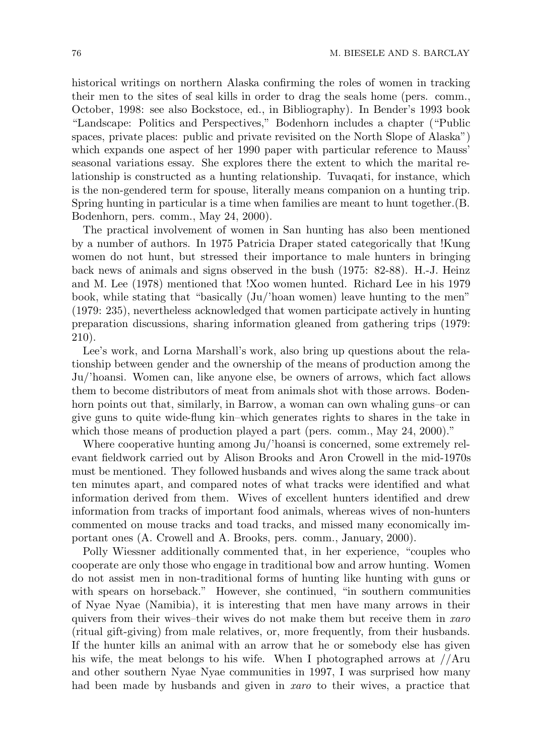historical writings on northern Alaska confirming the roles of women in tracking their men to the sites of seal kills in order to drag the seals home (pers. comm., October, 1998: see also Bockstoce, ed., in Bibliography). In Bender's 1993 book "Landscape: Politics and Perspectives," Bodenhorn includes a chapter ("Public spaces, private places: public and private revisited on the North Slope of Alaska") which expands one aspect of her 1990 paper with particular reference to Mauss' seasonal variations essay. She explores there the extent to which the marital relationship is constructed as a hunting relationship. Tuvaqati, for instance, which is the non-gendered term for spouse, literally means companion on a hunting trip. Spring hunting in particular is a time when families are meant to hunt together.(B. Bodenhorn, pers. comm., May 24, 2000).

The practical involvement of women in San hunting has also been mentioned by a number of authors. In 1975 Patricia Draper stated categorically that !Kung women do not hunt, but stressed their importance to male hunters in bringing back news of animals and signs observed in the bush (1975: 82-88). H.-J. Heinz and M. Lee (1978) mentioned that !Xoo women hunted. Richard Lee in his 1979 book, while stating that "basically (Ju/'hoan women) leave hunting to the men" (1979: 235), nevertheless acknowledged that women participate actively in hunting preparation discussions, sharing information gleaned from gathering trips (1979: 210).

Lee's work, and Lorna Marshall's work, also bring up questions about the relationship between gender and the ownership of the means of production among the Ju/'hoansi. Women can, like anyone else, be owners of arrows, which fact allows them to become distributors of meat from animals shot with those arrows. Bodenhorn points out that, similarly, in Barrow, a woman can own whaling guns–or can give guns to quite wide-flung kin–which generates rights to shares in the take in which those means of production played a part (pers. comm., May 24, 2000)."

Where cooperative hunting among Ju/'hoansi is concerned, some extremely relevant fieldwork carried out by Alison Brooks and Aron Crowell in the mid-1970s must be mentioned. They followed husbands and wives along the same track about ten minutes apart, and compared notes of what tracks were identified and what information derived from them. Wives of excellent hunters identified and drew information from tracks of important food animals, whereas wives of non-hunters commented on mouse tracks and toad tracks, and missed many economically important ones (A. Crowell and A. Brooks, pers. comm., January, 2000).

Polly Wiessner additionally commented that, in her experience, "couples who cooperate are only those who engage in traditional bow and arrow hunting. Women do not assist men in non-traditional forms of hunting like hunting with guns or with spears on horseback." However, she continued, "in southern communities of Nyae Nyae (Namibia), it is interesting that men have many arrows in their quivers from their wives–their wives do not make them but receive them in *xaro* (ritual gift-giving) from male relatives, or, more frequently, from their husbands. If the hunter kills an animal with an arrow that he or somebody else has given his wife, the meat belongs to his wife. When I photographed arrows at //Aru and other southern Nyae Nyae communities in 1997, I was surprised how many had been made by husbands and given in *xaro* to their wives, a practice that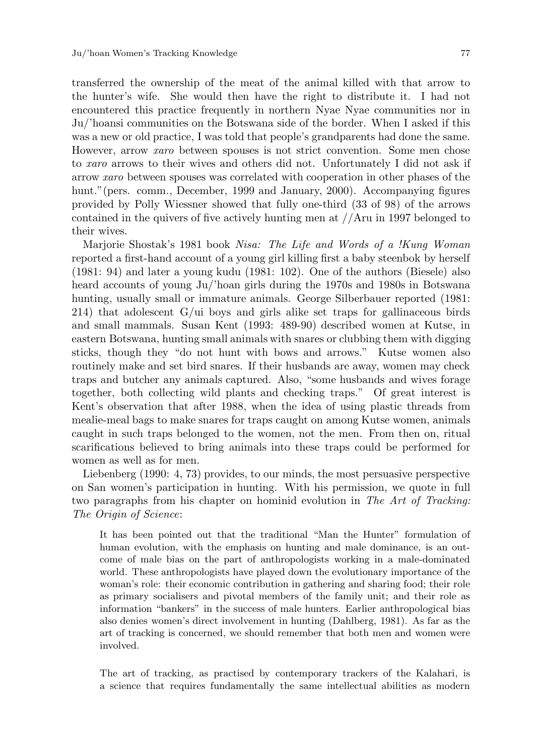transferred the ownership of the meat of the animal killed with that arrow to the hunter's wife. She would then have the right to distribute it. I had not encountered this practice frequently in northern Nyae Nyae communities nor in Ju/'hoansi communities on the Botswana side of the border. When I asked if this was a new or old practice, I was told that people's grandparents had done the same. However, arrow *xaro* between spouses is not strict convention. Some men chose to *xaro* arrows to their wives and others did not. Unfortunately I did not ask if arrow *xaro* between spouses was correlated with cooperation in other phases of the hunt." (pers. comm., December, 1999 and January, 2000). Accompanying figures provided by Polly Wiessner showed that fully one-third (33 of 98) of the arrows contained in the quivers of five actively hunting men at //Aru in 1997 belonged to their wives.

Marjorie Shostak's 1981 book *Nisa: The Life and Words of a !Kung Woman* reported a first-hand account of a young girl killing first a baby steenbok by herself (1981: 94) and later a young kudu (1981: 102). One of the authors (Biesele) also heard accounts of young Ju/'hoan girls during the 1970s and 1980s in Botswana hunting, usually small or immature animals. George Silberbauer reported (1981: 214) that adolescent G/ui boys and girls alike set traps for gallinaceous birds and small mammals. Susan Kent (1993: 489-90) described women at Kutse, in eastern Botswana, hunting small animals with snares or clubbing them with digging sticks, though they "do not hunt with bows and arrows." Kutse women also routinely make and set bird snares. If their husbands are away, women may check traps and butcher any animals captured. Also, "some husbands and wives forage together, both collecting wild plants and checking traps." Of great interest is Kent's observation that after 1988, when the idea of using plastic threads from mealie-meal bags to make snares for traps caught on among Kutse women, animals caught in such traps belonged to the women, not the men. From then on, ritual scarifications believed to bring animals into these traps could be performed for women as well as for men.

Liebenberg (1990: 4, 73) provides, to our minds, the most persuasive perspective on San women's participation in hunting. With his permission, we quote in full two paragraphs from his chapter on hominid evolution in *The Art of Tracking: The Origin of Science*:

It has been pointed out that the traditional "Man the Hunter" formulation of human evolution, with the emphasis on hunting and male dominance, is an outcome of male bias on the part of anthropologists working in a male-dominated world. These anthropologists have played down the evolutionary importance of the woman's role: their economic contribution in gathering and sharing food; their role as primary socialisers and pivotal members of the family unit; and their role as information "bankers" in the success of male hunters. Earlier anthropological bias also denies women's direct involvement in hunting (Dahlberg, 1981). As far as the art of tracking is concerned, we should remember that both men and women were involved.

The art of tracking, as practised by contemporary trackers of the Kalahari, is a science that requires fundamentally the same intellectual abilities as modern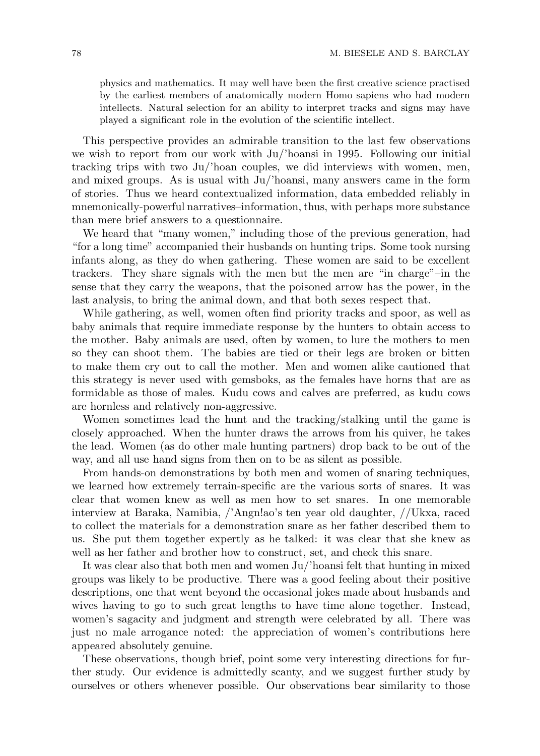physics and mathematics. It may well have been the first creative science practised by the earliest members of anatomically modern Homo sapiens who had modern intellects. Natural selection for an ability to interpret tracks and signs may have played a significant role in the evolution of the scientific intellect.

This perspective provides an admirable transition to the last few observations we wish to report from our work with Ju/'hoansi in 1995. Following our initial tracking trips with two Ju/'hoan couples, we did interviews with women, men, and mixed groups. As is usual with Ju/'hoansi, many answers came in the form of stories. Thus we heard contextualized information, data embedded reliably in mnemonically-powerful narratives–information, thus, with perhaps more substance than mere brief answers to a questionnaire.

We heard that "many women," including those of the previous generation, had "for a long time" accompanied their husbands on hunting trips. Some took nursing infants along, as they do when gathering. These women are said to be excellent trackers. They share signals with the men but the men are "in charge"–in the sense that they carry the weapons, that the poisoned arrow has the power, in the last analysis, to bring the animal down, and that both sexes respect that.

While gathering, as well, women often find priority tracks and spoor, as well as baby animals that require immediate response by the hunters to obtain access to the mother. Baby animals are used, often by women, to lure the mothers to men so they can shoot them. The babies are tied or their legs are broken or bitten to make them cry out to call the mother. Men and women alike cautioned that this strategy is never used with gemsboks, as the females have horns that are as formidable as those of males. Kudu cows and calves are preferred, as kudu cows are hornless and relatively non-aggressive.

Women sometimes lead the hunt and the tracking/stalking until the game is closely approached. When the hunter draws the arrows from his quiver, he takes the lead. Women (as do other male hunting partners) drop back to be out of the way, and all use hand signs from then on to be as silent as possible.

From hands-on demonstrations by both men and women of snaring techniques, we learned how extremely terrain-specific are the various sorts of snares. It was clear that women knew as well as men how to set snares. In one memorable interview at Baraka, Namibia, /'Angn!ao's ten year old daughter, //Ukxa, raced to collect the materials for a demonstration snare as her father described them to us. She put them together expertly as he talked: it was clear that she knew as well as her father and brother how to construct, set, and check this snare.

It was clear also that both men and women Ju/'hoansi felt that hunting in mixed groups was likely to be productive. There was a good feeling about their positive descriptions, one that went beyond the occasional jokes made about husbands and wives having to go to such great lengths to have time alone together. Instead, women's sagacity and judgment and strength were celebrated by all. There was just no male arrogance noted: the appreciation of women's contributions here appeared absolutely genuine.

These observations, though brief, point some very interesting directions for further study. Our evidence is admittedly scanty, and we suggest further study by ourselves or others whenever possible. Our observations bear similarity to those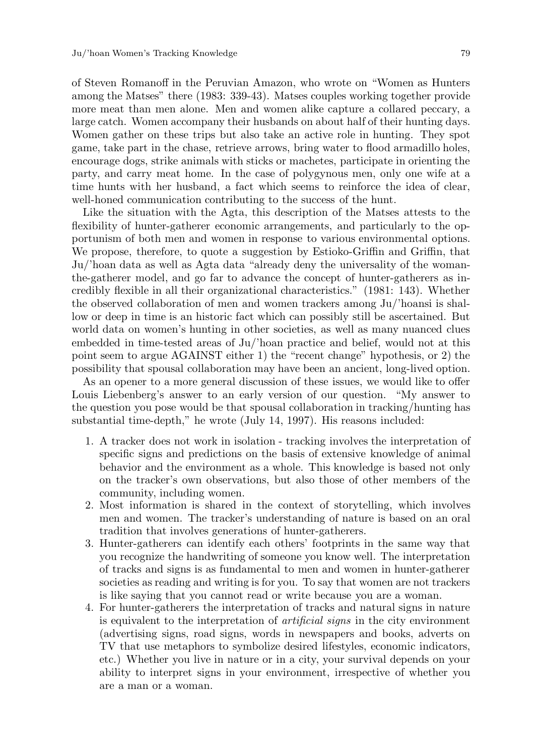of Steven Romanoff in the Peruvian Amazon, who wrote on "Women as Hunters among the Matses" there (1983: 339-43). Matses couples working together provide more meat than men alone. Men and women alike capture a collared peccary, a large catch. Women accompany their husbands on about half of their hunting days. Women gather on these trips but also take an active role in hunting. They spot game, take part in the chase, retrieve arrows, bring water to flood armadillo holes, encourage dogs, strike animals with sticks or machetes, participate in orienting the party, and carry meat home. In the case of polygynous men, only one wife at a time hunts with her husband, a fact which seems to reinforce the idea of clear, well-honed communication contributing to the success of the hunt.

Like the situation with the Agta, this description of the Matses attests to the flexibility of hunter-gatherer economic arrangements, and particularly to the opportunism of both men and women in response to various environmental options. We propose, therefore, to quote a suggestion by Estioko-Griffin and Griffin, that Ju/'hoan data as well as Agta data "already deny the universality of the womanthe-gatherer model, and go far to advance the concept of hunter-gatherers as incredibly flexible in all their organizational characteristics." (1981: 143). Whether the observed collaboration of men and women trackers among Ju/'hoansi is shallow or deep in time is an historic fact which can possibly still be ascertained. But world data on women's hunting in other societies, as well as many nuanced clues embedded in time-tested areas of Ju/'hoan practice and belief, would not at this point seem to argue AGAINST either 1) the "recent change" hypothesis, or 2) the possibility that spousal collaboration may have been an ancient, long-lived option.

As an opener to a more general discussion of these issues, we would like to offer Louis Liebenberg's answer to an early version of our question. "My answer to the question you pose would be that spousal collaboration in tracking/hunting has substantial time-depth," he wrote (July 14, 1997). His reasons included:

- 1. A tracker does not work in isolation tracking involves the interpretation of specific signs and predictions on the basis of extensive knowledge of animal behavior and the environment as a whole. This knowledge is based not only on the tracker's own observations, but also those of other members of the community, including women.
- 2. Most information is shared in the context of storytelling, which involves men and women. The tracker's understanding of nature is based on an oral tradition that involves generations of hunter-gatherers.
- 3. Hunter-gatherers can identify each others' footprints in the same way that you recognize the handwriting of someone you know well. The interpretation of tracks and signs is as fundamental to men and women in hunter-gatherer societies as reading and writing is for you. To say that women are not trackers is like saying that you cannot read or write because you are a woman.
- 4. For hunter-gatherers the interpretation of tracks and natural signs in nature is equivalent to the interpretation of *artificial signs* in the city environment (advertising signs, road signs, words in newspapers and books, adverts on TV that use metaphors to symbolize desired lifestyles, economic indicators, etc.) Whether you live in nature or in a city, your survival depends on your ability to interpret signs in your environment, irrespective of whether you are a man or a woman.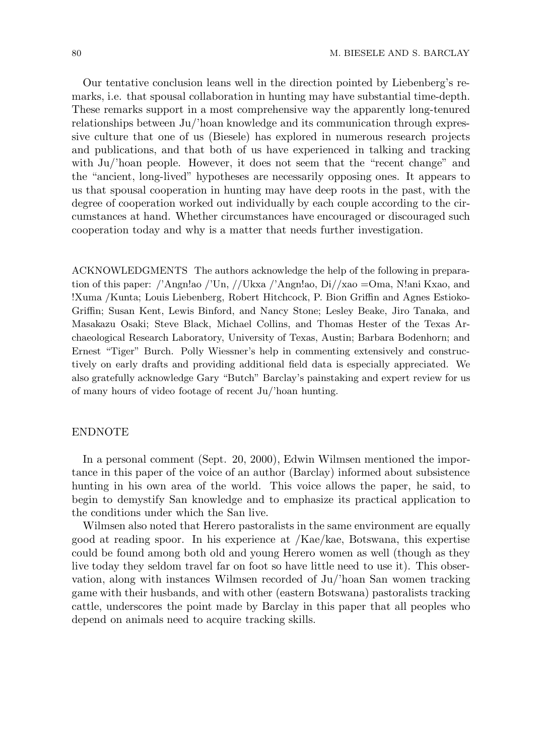Our tentative conclusion leans well in the direction pointed by Liebenberg's remarks, i.e. that spousal collaboration in hunting may have substantial time-depth. These remarks support in a most comprehensive way the apparently long-tenured relationships between Ju/'hoan knowledge and its communication through expressive culture that one of us (Biesele) has explored in numerous research projects and publications, and that both of us have experienced in talking and tracking with Ju/'hoan people. However, it does not seem that the "recent change" and the "ancient, long-lived" hypotheses are necessarily opposing ones. It appears to us that spousal cooperation in hunting may have deep roots in the past, with the degree of cooperation worked out individually by each couple according to the circumstances at hand. Whether circumstances have encouraged or discouraged such cooperation today and why is a matter that needs further investigation.

ACKNOWLEDGMENTS The authors acknowledge the help of the following in preparation of this paper: /'Angn!ao /'Un, //Ukxa /'Angn!ao, Di//xao =Oma, N!ani Kxao, and !Xuma /Kunta; Louis Liebenberg, Robert Hitchcock, P. Bion Griffin and Agnes Estioko-Griffin; Susan Kent, Lewis Binford, and Nancy Stone; Lesley Beake, Jiro Tanaka, and Masakazu Osaki; Steve Black, Michael Collins, and Thomas Hester of the Texas Archaeological Research Laboratory, University of Texas, Austin; Barbara Bodenhorn; and Ernest "Tiger" Burch. Polly Wiessner's help in commenting extensively and constructively on early drafts and providing additional field data is especially appreciated. We also gratefully acknowledge Gary "Butch" Barclay's painstaking and expert review for us of many hours of video footage of recent Ju/'hoan hunting.

#### ENDNOTE

In a personal comment (Sept. 20, 2000), Edwin Wilmsen mentioned the importance in this paper of the voice of an author (Barclay) informed about subsistence hunting in his own area of the world. This voice allows the paper, he said, to begin to demystify San knowledge and to emphasize its practical application to the conditions under which the San live.

Wilmsen also noted that Herero pastoralists in the same environment are equally good at reading spoor. In his experience at /Kae/kae, Botswana, this expertise could be found among both old and young Herero women as well (though as they live today they seldom travel far on foot so have little need to use it). This observation, along with instances Wilmsen recorded of Ju/'hoan San women tracking game with their husbands, and with other (eastern Botswana) pastoralists tracking cattle, underscores the point made by Barclay in this paper that all peoples who depend on animals need to acquire tracking skills.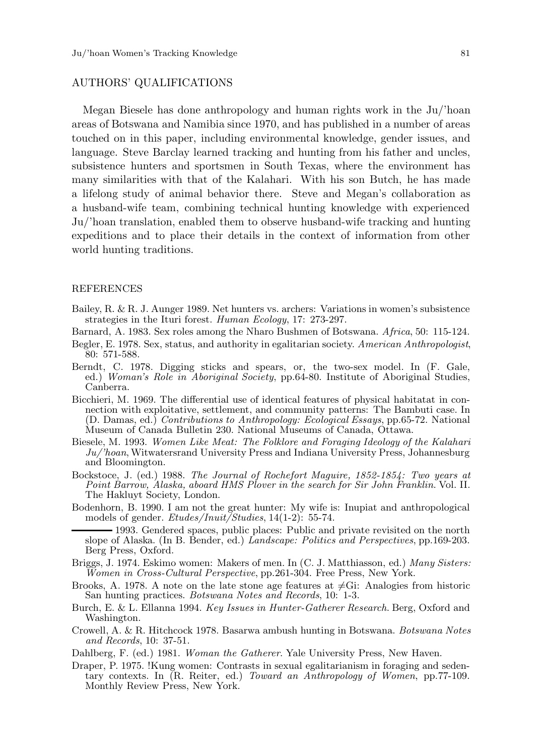#### AUTHORS' QUALIFICATIONS

Megan Biesele has done anthropology and human rights work in the Ju/'hoan areas of Botswana and Namibia since 1970, and has published in a number of areas touched on in this paper, including environmental knowledge, gender issues, and language. Steve Barclay learned tracking and hunting from his father and uncles, subsistence hunters and sportsmen in South Texas, where the environment has many similarities with that of the Kalahari. With his son Butch, he has made a lifelong study of animal behavior there. Steve and Megan's collaboration as a husband-wife team, combining technical hunting knowledge with experienced Ju/'hoan translation, enabled them to observe husband-wife tracking and hunting expeditions and to place their details in the context of information from other world hunting traditions.

#### REFERENCES

- Bailey, R. & R. J. Aunger 1989. Net hunters vs. archers: Variations in women's subsistence strategies in the Ituri forest. *Human Ecology*, 17: 273-297.
- Barnard, A. 1983. Sex roles among the Nharo Bushmen of Botswana. *Africa*, 50: 115-124.
- Begler, E. 1978. Sex, status, and authority in egalitarian society. *American Anthropologist*, 80: 571-588.
- Berndt, C. 1978. Digging sticks and spears, or, the two-sex model. In (F. Gale, ed.) *Woman's Role in Aboriginal Society*, pp.64-80. Institute of Aboriginal Studies, Canberra.
- Bicchieri, M. 1969. The differential use of identical features of physical habitatat in connection with exploitative, settlement, and community patterns: The Bambuti case. In (D. Damas, ed.) *Contributions to Anthropology: Ecological Essays*, pp.65-72. National Museum of Canada Bulletin 230. National Museums of Canada, Ottawa.
- Biesele, M. 1993. *Women Like Meat: The Folklore and Foraging Ideology of the Kalahari Ju/'hoan*,Witwatersrand University Press and Indiana University Press, Johannesburg and Bloomington.
- Bockstoce, J. (ed.) 1988. *The Journal of Rochefort Maguire, 1852-1854: Two years at Point Barrow, Alaska, aboard HMS Plover in the search for Sir John Franklin*. Vol. II. The Hakluyt Society, London.
- Bodenhorn, B. 1990. I am not the great hunter: My wife is: Inupiat and anthropological models of gender. *Etudes/Inuit/Studies*, 14(1-2): 55-74.
	- 1993. Gendered spaces, public places: Public and private revisited on the north slope of Alaska. (In B. Bender, ed.) *Landscape: Politics and Perspectives*, pp.169-203. Berg Press, Oxford.
- Briggs, J. 1974. Eskimo women: Makers of men. In (C. J. Matthiasson, ed.) *Many Sisters: Women in Cross-Cultural Perspective*, pp.261-304. Free Press, New York.
- Brooks, A. 1978. A note on the late stone age features at  $\neq$ Gi: Analogies from historic San hunting practices. *Botswana Notes and Records*, 10: 1-3.
- Burch, E. & L. Ellanna 1994. *Key Issues in Hunter-Gatherer Research*. Berg, Oxford and Washington.
- Crowell, A. & R. Hitchcock 1978. Basarwa ambush hunting in Botswana. *Botswana Notes and Records*, 10: 37-51.
- Dahlberg, F. (ed.) 1981. *Woman the Gatherer*. Yale University Press, New Haven.
- Draper, P. 1975. !Kung women: Contrasts in sexual egalitarianism in foraging and sedentary contexts. In (R. Reiter, ed.) *Toward an Anthropology of Women*, pp.77-109. Monthly Review Press, New York.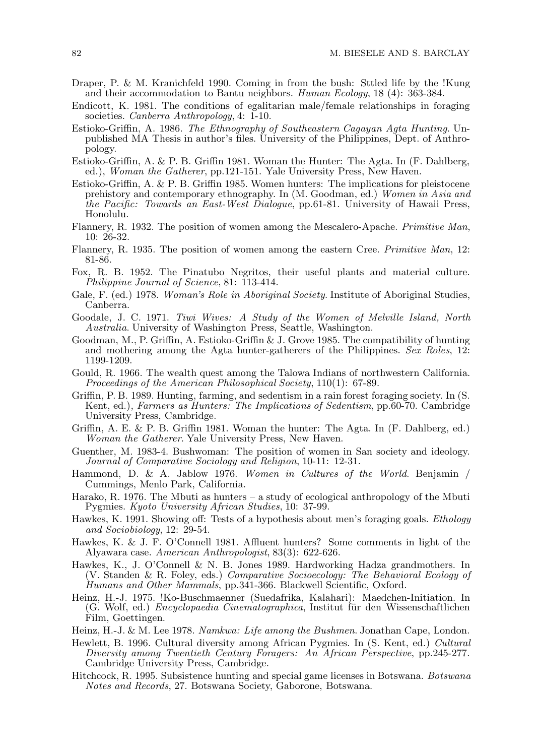- Draper, P. & M. Kranichfeld 1990. Coming in from the bush: Sttled life by the !Kung and their accommodation to Bantu neighbors. *Human Ecology*, 18 (4): 363-384.
- Endicott, K. 1981. The conditions of egalitarian male/female relationships in foraging societies. *Canberra Anthropology*, 4: 1-10.
- Estioko-Griffin, A. 1986. *The Ethnography of Southeastern Cagayan Agta Hunting*. Unpublished MA Thesis in author's files. University of the Philippines, Dept. of Anthropology.
- Estioko-Griffin, A. & P. B. Griffin 1981. Woman the Hunter: The Agta. In (F. Dahlberg, ed.), *Woman the Gatherer*, pp.121-151. Yale University Press, New Haven.
- Estioko-Griffin, A. & P. B. Griffin 1985. Women hunters: The implications for pleistocene prehistory and contemporary ethnography. In (M. Goodman, ed.) *Women in Asia and the Pacific: Towards an East-West Dialogue*, pp.61-81. University of Hawaii Press, Honolulu.
- Flannery, R. 1932. The position of women among the Mescalero-Apache. *Primitive Man*, 10: 26-32.
- Flannery, R. 1935. The position of women among the eastern Cree. *Primitive Man*, 12: 81-86.
- Fox, R. B. 1952. The Pinatubo Negritos, their useful plants and material culture. *Philippine Journal of Science*, 81: 113-414.
- Gale, F. (ed.) 1978. *Woman's Role in Aboriginal Society*. Institute of Aboriginal Studies, Canberra.
- Goodale, J. C. 1971. *Tiwi Wives: A Study of the Women of Melville Island, North Australia*. University of Washington Press, Seattle, Washington.
- Goodman, M., P. Griffin, A. Estioko-Griffin & J. Grove 1985. The compatibility of hunting and mothering among the Agta hunter-gatherers of the Philippines. *Sex Roles*, 12: 1199-1209.
- Gould, R. 1966. The wealth quest among the Talowa Indians of northwestern California. *Proceedings of the American Philosophical Society*, 110(1): 67-89.
- Griffin, P. B. 1989. Hunting, farming, and sedentism in a rain forest foraging society. In (S. Kent, ed.), *Farmers as Hunters: The Implications of Sedentism*, pp.60-70. Cambridge University Press, Cambridge.
- Griffin, A. E. & P. B. Griffin 1981. Woman the hunter: The Agta. In (F. Dahlberg, ed.) *Woman the Gatherer*. Yale University Press, New Haven.
- Guenther, M. 1983-4. Bushwoman: The position of women in San society and ideology. *Journal of Comparative Sociology and Religion*, 10-11: 12-31.
- Hammond, D. & A. Jablow 1976. *Women in Cultures of the World*. Benjamin / Cummings, Menlo Park, California.
- Harako, R. 1976. The Mbuti as hunters a study of ecological anthropology of the Mbuti Pygmies. *Kyoto University African Studies*, 10: 37-99.
- Hawkes, K. 1991. Showing off: Tests of a hypothesis about men's foraging goals. *Ethology and Sociobiology*, 12: 29-54.
- Hawkes, K. & J. F. O'Connell 1981. Affluent hunters? Some comments in light of the Alyawara case. *American Anthropologist*, 83(3): 622-626.
- Hawkes, K., J. O'Connell & N. B. Jones 1989. Hardworking Hadza grandmothers. In (V. Standen & R. Foley, eds.) *Comparative Socioecology: The Behavioral Ecology of Humans and Other Mammals*, pp.341-366. Blackwell Scientific, Oxford.
- Heinz, H.-J. 1975. !Ko-Buschmaenner (Suedafrika, Kalahari): Maedchen-Initiation. In (G. Wolf, ed.) *Encyclopaedia Cinematographica*, Institut für den Wissenschaftlichen Film, Goettingen.
- Heinz, H.-J. & M. Lee 1978. *Namkwa: Life among the Bushmen*. Jonathan Cape, London.
- Hewlett, B. 1996. Cultural diversity among African Pygmies. In (S. Kent, ed.) *Cultural Diversity among Twentieth Century Foragers: An African Perspective*, pp.245-277. Cambridge University Press, Cambridge.
- Hitchcock, R. 1995. Subsistence hunting and special game licenses in Botswana. *Botswana Notes and Records*, 27. Botswana Society, Gaborone, Botswana.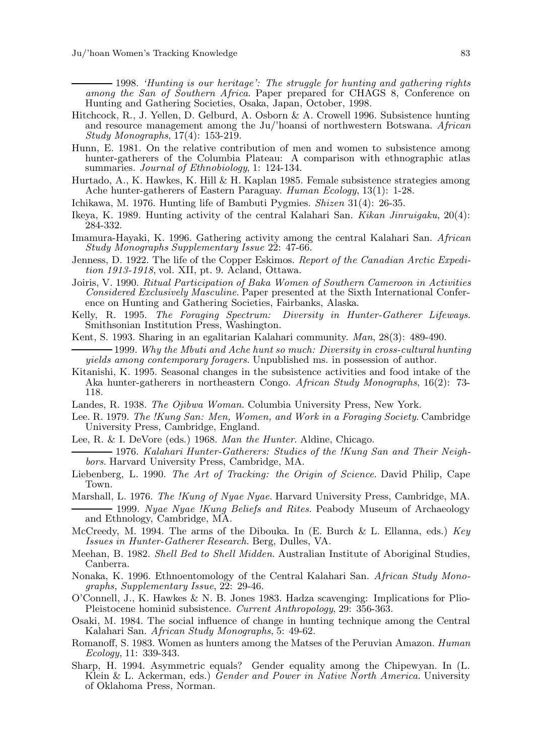1998. *'Hunting is our heritage': The struggle for hunting and gathering rights among the San of Southern Africa*. Paper prepared for CHAGS 8, Conference on Hunting and Gathering Societies, Osaka, Japan, October, 1998.

- Hitchcock, R., J. Yellen, D. Gelburd, A. Osborn & A. Crowell 1996. Subsistence hunting and resource management among the Ju/'hoansi of northwestern Botswana. *African Study Monographs*, 17(4): 153-219.
- Hunn, E. 1981. On the relative contribution of men and women to subsistence among hunter-gatherers of the Columbia Plateau: A comparison with ethnographic atlas summaries. *Journal of Ethnobiology*, 1: 124-134.
- Hurtado, A., K. Hawkes, K. Hill & H. Kaplan 1985. Female subsistence strategies among Ache hunter-gatherers of Eastern Paraguay. *Human Ecology*, 13(1): 1-28.
- Ichikawa, M. 1976. Hunting life of Bambuti Pygmies. *Shizen* 31(4): 26-35.
- Ikeya, K. 1989. Hunting activity of the central Kalahari San. *Kikan Jinruigaku*, 20(4): 284-332.
- Imamura-Hayaki, K. 1996. Gathering activity among the central Kalahari San. *African Study Monographs Supplementary Issue* 22: 47-66.
- Jenness, D. 1922. The life of the Copper Eskimos. *Report of the Canadian Arctic Expedition 1913-1918*, vol. XII, pt. 9. Acland, Ottawa.
- Joiris, V. 1990. *Ritual Participation of Baka Women of Southern Cameroon in Activities Considered Exclusively Masculine*. Paper presented at the Sixth International Conference on Hunting and Gathering Societies, Fairbanks, Alaska.
- Kelly, R. 1995. *The Foraging Spectrum: Diversity in Hunter-Gatherer Lifeways*. Smithsonian Institution Press, Washington.
- Kent, S. 1993. Sharing in an egalitarian Kalahari community. *Man*, 28(3): 489-490.
- 1999. *Why the Mbuti and Ache hunt so much: Diversity in cross-cultural hunting yields among contemporary foragers*. Unpublished ms. in possession of author.
- Kitanishi, K. 1995. Seasonal changes in the subsistence activities and food intake of the Aka hunter-gatherers in northeastern Congo. *African Study Monographs*, 16(2): 73- 118.
- Landes, R. 1938. *The Ojibwa Woman*. Columbia University Press, New York.
- Lee. R. 1979. *The !Kung San: Men, Women, and Work in a Foraging Society*. Cambridge University Press, Cambridge, England.
- Lee, R. & I. DeVore (eds.) 1968. *Man the Hunter*. Aldine, Chicago.

1976. *Kalahari Hunter-Gatherers: Studies of the !Kung San and Their Neighbors*. Harvard University Press, Cambridge, MA.

- Liebenberg, L. 1990. *The Art of Tracking: the Origin of Science*. David Philip, Cape Town.
- Marshall, L. 1976. *The !Kung of Nyae Nyae*. Harvard University Press, Cambridge, MA.
- 1999. *Nyae Nyae !Kung Beliefs and Rites*. Peabody Museum of Archaeology and Ethnology, Cambridge, MA.
- McCreedy, M. 1994. The arms of the Dibouka. In (E. Burch & L. Ellanna, eds.) *Key Issues in Hunter-Gatherer Research*. Berg, Dulles, VA.
- Meehan, B. 1982. *Shell Bed to Shell Midden*. Australian Institute of Aboriginal Studies, Canberra.
- Nonaka, K. 1996. Ethnoentomology of the Central Kalahari San. *African Study Monographs, Supplementary Issue*, 22: 29-46.
- O'Connell, J., K. Hawkes & N. B. Jones 1983. Hadza scavenging: Implications for Plio-Pleistocene hominid subsistence. *Current Anthropology*, 29: 356-363.
- Osaki, M. 1984. The social influence of change in hunting technique among the Central Kalahari San. *African Study Monographs*, 5: 49-62.
- Romanoff, S. 1983. Women as hunters among the Matses of the Peruvian Amazon. *Human Ecology*, 11: 339-343.
- Sharp, H. 1994. Asymmetric equals? Gender equality among the Chipewyan. In (L. Klein & L. Ackerman, eds.) *Gender and Power in Native North America*. University of Oklahoma Press, Norman.